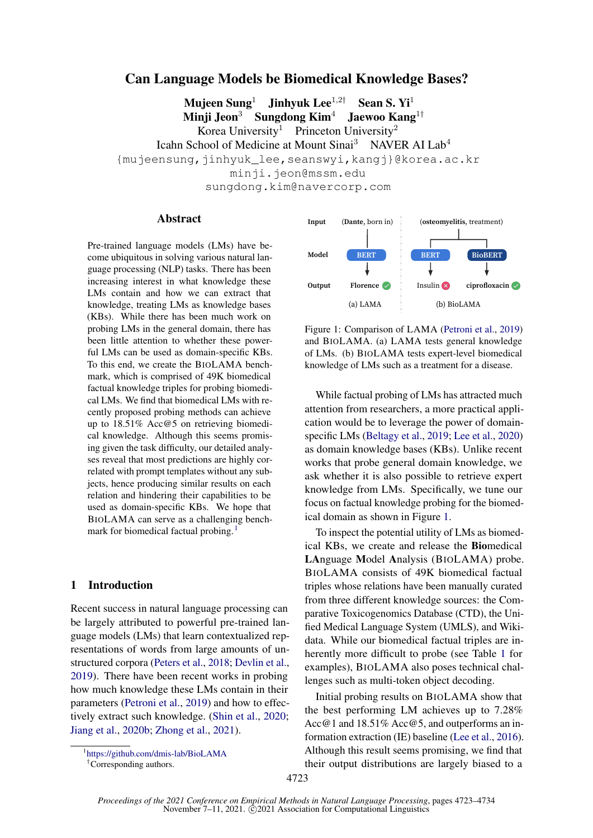# Can Language Models be Biomedical Knowledge Bases?

Mujeen Sung<sup>1</sup> Jinhyuk Lee<sup>1,2†</sup> Sean S. Yi<sup>1</sup><br>Minii Jeon<sup>3</sup> Sungdong Kim<sup>4</sup> Jaewoo Kang Sungdong Kim<sup>4</sup> Jaewoo Kang<sup>1†</sup> Korea University<sup>1</sup> Princeton University<sup>2</sup> Icahn School of Medicine at Mount Sinai<sup>3</sup> NAVER AI Lab<sup>4</sup> {mujeensung,jinhyuk\_lee,seanswyi,kangj}@korea.ac.kr minji.jeon@mssm.edu sungdong.kim@navercorp.com

### Abstract

Pre-trained language models (LMs) have become ubiquitous in solving various natural language processing (NLP) tasks. There has been increasing interest in what knowledge these LMs contain and how we can extract that knowledge, treating LMs as knowledge bases (KBs). While there has been much work on probing LMs in the general domain, there has been little attention to whether these powerful LMs can be used as domain-specific KBs. To this end, we create the BIOLAMA benchmark, which is comprised of 49K biomedical factual knowledge triples for probing biomedical LMs. We find that biomedical LMs with recently proposed probing methods can achieve up to 18.51% Acc@5 on retrieving biomedical knowledge. Although this seems promising given the task difficulty, our detailed analyses reveal that most predictions are highly correlated with prompt templates without any subjects, hence producing similar results on each relation and hindering their capabilities to be used as domain-specific KBs. We hope that BIOLAMA can serve as a challenging bench-mark for biomedical factual probing.<sup>[1](#page-0-0)</sup>

# 1 Introduction

Recent success in natural language processing can be largely attributed to powerful pre-trained language models (LMs) that learn contextualized representations of words from large amounts of unstructured corpora [\(Peters et al.,](#page-5-0) [2018;](#page-5-0) [Devlin et al.,](#page-5-1) [2019\)](#page-5-1). There have been recent works in probing how much knowledge these LMs contain in their parameters [\(Petroni et al.,](#page-5-2) [2019\)](#page-5-2) and how to effectively extract such knowledge. [\(Shin et al.,](#page-5-3) [2020;](#page-5-3) [Jiang et al.,](#page-5-4) [2020b;](#page-5-4) [Zhong et al.,](#page-6-0) [2021\)](#page-6-0).

<span id="page-0-0"></span>1 <https://github.com/dmis-lab/BioLAMA>

<span id="page-0-1"></span>

Figure 1: Comparison of LAMA [\(Petroni et al.,](#page-5-2) [2019\)](#page-5-2) and BIOLAMA. (a) LAMA tests general knowledge of LMs. (b) BIOLAMA tests expert-level biomedical knowledge of LMs such as a treatment for a disease.

While factual probing of LMs has attracted much attention from researchers, a more practical application would be to leverage the power of domainspecific LMs [\(Beltagy et al.,](#page-5-5) [2019;](#page-5-5) [Lee et al.,](#page-5-6) [2020\)](#page-5-6) as domain knowledge bases (KBs). Unlike recent works that probe general domain knowledge, we ask whether it is also possible to retrieve expert knowledge from LMs. Specifically, we tune our focus on factual knowledge probing for the biomedical domain as shown in Figure [1.](#page-0-1)

To inspect the potential utility of LMs as biomedical KBs, we create and release the Biomedical LAnguage Model Analysis (BIOLAMA) probe. BIOLAMA consists of 49K biomedical factual triples whose relations have been manually curated from three different knowledge sources: the Comparative Toxicogenomics Database (CTD), the Unified Medical Language System (UMLS), and Wikidata. While our biomedical factual triples are inherently more difficult to probe (see Table [1](#page-1-0) for examples), BIOLAMA also poses technical challenges such as multi-token object decoding.

Initial probing results on BIOLAMA show that the best performing LM achieves up to 7.28% Acc@1 and 18.51% Acc@5, and outperforms an information extraction (IE) baseline [\(Lee et al.,](#page-5-7) [2016\)](#page-5-7). Although this result seems promising, we find that their output distributions are largely biased to a

<sup>†</sup>Corresponding authors.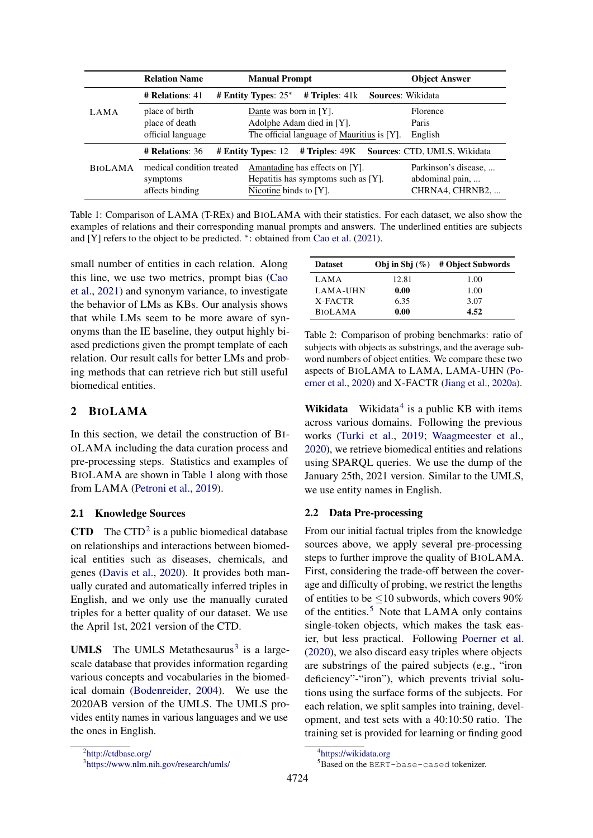<span id="page-1-0"></span>

|                | <b>Relation Name</b>                                     | <b>Manual Prompt</b>                                                                              | <b>Object Answer</b>                                       |
|----------------|----------------------------------------------------------|---------------------------------------------------------------------------------------------------|------------------------------------------------------------|
|                | $#$ Relations: 41                                        | $#$ Triples: $41k$<br># Entity Types: $25^*$                                                      | <b>Sources: Wikidata</b>                                   |
| LAMA           | place of birth<br>place of death<br>official language    | Dante was born in [Y].<br>Adolphe Adam died in [Y].<br>The official language of Mauritius is [Y]. | Florence<br>Paris<br>English                               |
|                | <b># Relations: 36</b>                                   | # Triples: 49K<br># Entity Types: 12                                                              | <b>Sources: CTD, UMLS, Wikidata</b>                        |
| <b>BIOLAMA</b> | medical condition treated<br>symptoms<br>affects binding | Amantadine has effects on [Y].<br>Hepatitis has symptoms such as [Y].<br>Nicotine binds to [Y].   | Parkinson's disease,<br>abdominal pain,<br>CHRNA4, CHRNB2, |

Table 1: Comparison of LAMA (T-REx) and BIOLAMA with their statistics. For each dataset, we also show the examples of relations and their corresponding manual prompts and answers. The underlined entities are subjects and [Y] refers to the object to be predicted. <sup>∗</sup> : obtained from [Cao et al.](#page-5-8) [\(2021\)](#page-5-8).

small number of entities in each relation. Along this line, we use two metrics, prompt bias [\(Cao](#page-5-8) [et al.,](#page-5-8) [2021\)](#page-5-8) and synonym variance, to investigate the behavior of LMs as KBs. Our analysis shows that while LMs seem to be more aware of synonyms than the IE baseline, they output highly biased predictions given the prompt template of each relation. Our result calls for better LMs and probing methods that can retrieve rich but still useful biomedical entities.

# <span id="page-1-6"></span>2 BIOLAMA

In this section, we detail the construction of BI-OLAMA including the data curation process and pre-processing steps. Statistics and examples of BIOLAMA are shown in Table [1](#page-1-0) along with those from LAMA [\(Petroni et al.,](#page-5-2) [2019\)](#page-5-2).

### 2.1 Knowledge Sources

**CTD** The CTD<sup>[2](#page-1-1)</sup> is a public biomedical database on relationships and interactions between biomedical entities such as diseases, chemicals, and genes [\(Davis et al.,](#page-5-9) [2020\)](#page-5-9). It provides both manually curated and automatically inferred triples in English, and we only use the manually curated triples for a better quality of our dataset. We use the April 1st, 2021 version of the CTD.

<span id="page-1-2"></span><span id="page-1-1"></span>**UMLS** The UMLS Metathesaurus<sup>[3](#page-1-2)</sup> is a largescale database that provides information regarding various concepts and vocabularies in the biomedical domain [\(Bodenreider,](#page-5-10) [2004\)](#page-5-10). We use the 2020AB version of the UMLS. The UMLS provides entity names in various languages and we use the ones in English.

<span id="page-1-5"></span>

| <b>Dataset</b> |       | Obj in Sbj $(\%)$ # Object Subwords |
|----------------|-------|-------------------------------------|
| LAMA           | 12.81 | 1.00                                |
| LAMA-UHN       | 0.00  | 1.00                                |
| X-FACTR        | 6.35  | 3.07                                |
| <b>BIOLAMA</b> | 0.00  | 4.52                                |

Table 2: Comparison of probing benchmarks: ratio of subjects with objects as substrings, and the average subword numbers of object entities. We compare these two aspects of BIOLAMA to LAMA, LAMA-UHN [\(Po](#page-5-11)[erner et al.,](#page-5-11) [2020\)](#page-5-11) and X-FACTR [\(Jiang et al.,](#page-5-12) [2020a\)](#page-5-12).

**Wikidata** Wikidata<sup>[4](#page-1-3)</sup> is a public KB with items across various domains. Following the previous works [\(Turki et al.,](#page-6-1) [2019;](#page-6-1) [Waagmeester et al.,](#page-6-2) [2020\)](#page-6-2), we retrieve biomedical entities and relations using SPARQL queries. We use the dump of the January 25th, 2021 version. Similar to the UMLS, we use entity names in English.

# 2.2 Data Pre-processing

From our initial factual triples from the knowledge sources above, we apply several pre-processing steps to further improve the quality of BIOLAMA. First, considering the trade-off between the coverage and difficulty of probing, we restrict the lengths of entities to be  $\leq 10$  subwords, which covers 90% of the entities.<sup>[5](#page-1-4)</sup> Note that LAMA only contains single-token objects, which makes the task easier, but less practical. Following [Poerner et al.](#page-5-11) [\(2020\)](#page-5-11), we also discard easy triples where objects are substrings of the paired subjects (e.g., "iron deficiency"-"iron"), which prevents trivial solutions using the surface forms of the subjects. For each relation, we split samples into training, development, and test sets with a 40:10:50 ratio. The training set is provided for learning or finding good

<sup>4</sup> <https://wikidata.org>

<span id="page-1-4"></span><span id="page-1-3"></span><sup>5</sup>Based on the BERT-base-cased tokenizer.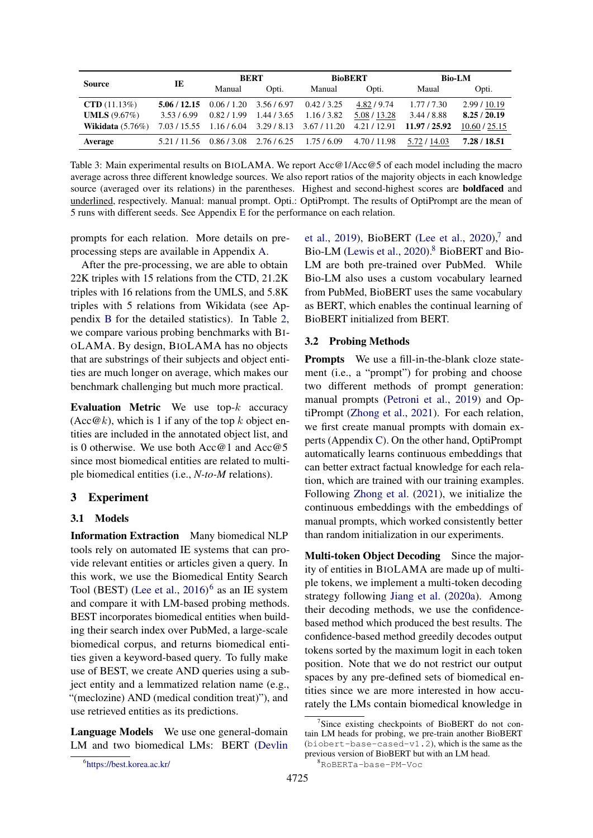<span id="page-2-3"></span>

| <b>Source</b>              | IE           | <b>BERT</b> |             | <b>BioBERT</b>                                    |              | <b>Bio-LM</b> |               |
|----------------------------|--------------|-------------|-------------|---------------------------------------------------|--------------|---------------|---------------|
|                            |              | Manual      | Opti.       | Manual                                            | Opti.        | Maual         | Opti.         |
| $\text{CTD}(11.13\%)$      | 5.06 / 12.15 | 0.06 / 1.20 | 3.56/6.97   | 0.42/3.25                                         | 4.82 / 9.74  | 1.77/7.30     | 2.99 / 10.19  |
| <b>UMLS</b> $(9.67\%)$     | 3.53/6.99    | 0.82/1.99   | 1.44 / 3.65 | 1.16/3.82                                         | 5.08 / 13.28 | 3.44 / 8.88   | 8.25/20.19    |
| <b>Wikidata</b> $(5.76\%)$ |              |             |             | 7.03 / 15.55 1.16 / 6.04 3.29 / 8.13 3.67 / 11.20 | 4.21/12.91   | 11.97 / 25.92 | 10.60 / 25.15 |
| Average                    | 5.21/11.56   | 0.86/3.08   | 2.76/6.25   | 1.75/6.09                                         | 4.70 / 11.98 | 5.72 / 14.03  | 7.28 / 18.51  |

Table 3: Main experimental results on BIOLAMA. We report Acc@1/Acc@5 of each model including the macro average across three different knowledge sources. We also report ratios of the majority objects in each knowledge source (averaged over its relations) in the parentheses. Highest and second-highest scores are **boldfaced** and underlined, respectively. Manual: manual prompt. Opti.: OptiPrompt. The results of OptiPrompt are the mean of 5 runs with different seeds. See Appendix [E](#page-7-0) for the performance on each relation.

prompts for each relation. More details on preprocessing steps are available in Appendix [A.](#page-7-1)

After the pre-processing, we are able to obtain 22K triples with 15 relations from the CTD, 21.2K triples with 16 relations from the UMLS, and 5.8K triples with 5 relations from Wikidata (see Appendix [B](#page-7-2) for the detailed statistics). In Table [2,](#page-1-5) we compare various probing benchmarks with BI-OLAMA. By design, BIOLAMA has no objects that are substrings of their subjects and object entities are much longer on average, which makes our benchmark challenging but much more practical.

Evaluation Metric We use top- $k$  accuracy  $(Acc@k)$ , which is 1 if any of the top k object entities are included in the annotated object list, and is 0 otherwise. We use both Acc@1 and Acc@5 since most biomedical entities are related to multiple biomedical entities (i.e., *N-to-M* relations).

# 3 Experiment

### 3.1 Models

Information Extraction Many biomedical NLP tools rely on automated IE systems that can provide relevant entities or articles given a query. In this work, we use the Biomedical Entity Search Tool (BEST) [\(Lee et al.,](#page-5-7) [2016\)](#page-5-7) [6](#page-2-0) as an IE system and compare it with LM-based probing methods. BEST incorporates biomedical entities when building their search index over PubMed, a large-scale biomedical corpus, and returns biomedical entities given a keyword-based query. To fully make use of BEST, we create AND queries using a subject entity and a lemmatized relation name (e.g., "(meclozine) AND (medical condition treat)"), and use retrieved entities as its predictions.

Language Models We use one general-domain LM and two biomedical LMs: BERT [\(Devlin](#page-5-1)

[et al.,](#page-5-1) [2019\)](#page-5-1), BioBERT [\(Lee et al.,](#page-5-6) [2020\)](#page-5-6),<sup>[7](#page-2-1)</sup> and Bio-LM [\(Lewis et al.,](#page-5-13) [2020\)](#page-5-13).<sup>[8](#page-2-2)</sup> BioBERT and Bio-LM are both pre-trained over PubMed. While Bio-LM also uses a custom vocabulary learned from PubMed, BioBERT uses the same vocabulary as BERT, which enables the continual learning of BioBERT initialized from BERT.

### 3.2 Probing Methods

Prompts We use a fill-in-the-blank cloze statement (i.e., a "prompt") for probing and choose two different methods of prompt generation: manual prompts [\(Petroni et al.,](#page-5-2) [2019\)](#page-5-2) and OptiPrompt [\(Zhong et al.,](#page-6-0) [2021\)](#page-6-0). For each relation, we first create manual prompts with domain experts (Appendix [C\)](#page-7-3). On the other hand, OptiPrompt automatically learns continuous embeddings that can better extract factual knowledge for each relation, which are trained with our training examples. Following [Zhong et al.](#page-6-0) [\(2021\)](#page-6-0), we initialize the continuous embeddings with the embeddings of manual prompts, which worked consistently better than random initialization in our experiments.

Multi-token Object Decoding Since the majority of entities in BIOLAMA are made up of multiple tokens, we implement a multi-token decoding strategy following [Jiang et al.](#page-5-12) [\(2020a\)](#page-5-12). Among their decoding methods, we use the confidencebased method which produced the best results. The confidence-based method greedily decodes output tokens sorted by the maximum logit in each token position. Note that we do not restrict our output spaces by any pre-defined sets of biomedical entities since we are more interested in how accurately the LMs contain biomedical knowledge in

<span id="page-2-0"></span><sup>6</sup> [https://best.korea.ac.kr/](#page-5-1)

<span id="page-2-1"></span><sup>7</sup> Since existing checkpoints of BioBERT do not contain LM heads for probing, we pre-train another BioBERT (biobert-base-cased-v1.2), which is the same as the previous version of BioBERT but with an LM head.

<span id="page-2-2"></span><sup>8</sup>RoBERTa-base-PM-Voc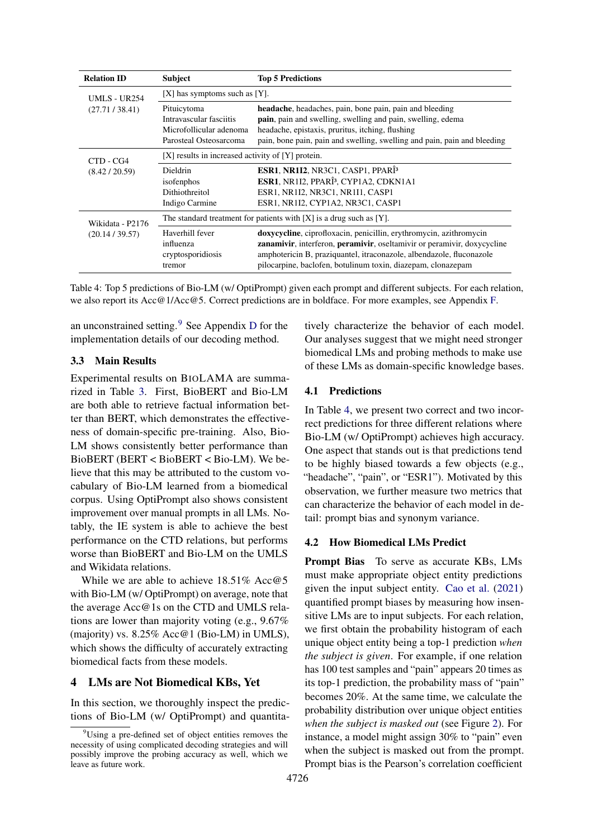<span id="page-3-1"></span>

| <b>Relation ID</b>  | <b>Subject</b>                                                                              | <b>Top 5 Predictions</b>                                                                                                                                                                                                                                                              |
|---------------------|---------------------------------------------------------------------------------------------|---------------------------------------------------------------------------------------------------------------------------------------------------------------------------------------------------------------------------------------------------------------------------------------|
| <b>UMLS - UR254</b> | $[X]$ has symptoms such as $[Y]$ .                                                          |                                                                                                                                                                                                                                                                                       |
| (27.71 / 38.41)     | Pituicytoma<br>Intravascular fasciitis<br>Microfollicular adenoma<br>Parosteal Osteosarcoma | headache, headaches, pain, bone pain, pain and bleeding<br><b>pain</b> , pain and swelling, swelling and pain, swelling, edema<br>headache, epistaxis, pruritus, itching, flushing<br>pain, bone pain, pain and swelling, swelling and pain, pain and bleeding                        |
| CTD - CG4           | $[X]$ results in increased activity of $[Y]$ protein.                                       |                                                                                                                                                                                                                                                                                       |
| (8.42 / 20.59)      | <b>Dieldrin</b><br>isofenphos<br>Dithiothreitol<br>Indigo Carmine                           | ESR1, NR1I2, NR3C1, CASP1, PPARÎ <sup>3</sup><br>ESR1, NR1I2, PPARÎ <sup>3</sup> , CYP1A2, CDKN1A1<br>ESR1, NR1I2, NR3C1, NR1I1, CASP1<br>ESR1, NR1I2, CYP1A2, NR3C1, CASP1                                                                                                           |
| Wikidata - P2176    |                                                                                             | The standard treatment for patients with $[X]$ is a drug such as $[Y]$ .                                                                                                                                                                                                              |
| (20.14 / 39.57)     | Haverhill fever<br>influenza<br>cryptosporidiosis<br>tremor                                 | doxycycline, ciprofloxacin, penicillin, erythromycin, azithromycin<br>zanamivir, interferon, peramivir, oseltamivir or peramivir, doxycycline<br>amphotericin B, praziquantel, itraconazole, albendazole, fluconazole<br>pilocarpine, baclofen, botulinum toxin, diazepam, clonazepam |

Table 4: Top 5 predictions of Bio-LM (w/ OptiPrompt) given each prompt and different subjects. For each relation, we also report its Acc@1/Acc@5. Correct predictions are in boldface. For more examples, see Appendix [F.](#page-7-4)

an unconstrained setting.[9](#page-3-0) See Appendix [D](#page-7-5) for the implementation details of our decoding method.

# 3.3 Main Results

Experimental results on BIOLAMA are summarized in Table [3.](#page-2-3) First, BioBERT and Bio-LM are both able to retrieve factual information better than BERT, which demonstrates the effectiveness of domain-specific pre-training. Also, Bio-LM shows consistently better performance than BioBERT (BERT < BioBERT < Bio-LM). We believe that this may be attributed to the custom vocabulary of Bio-LM learned from a biomedical corpus. Using OptiPrompt also shows consistent improvement over manual prompts in all LMs. Notably, the IE system is able to achieve the best performance on the CTD relations, but performs worse than BioBERT and Bio-LM on the UMLS and Wikidata relations.

While we are able to achieve 18.51% Acc@5 with Bio-LM (w/ OptiPrompt) on average, note that the average Acc@1s on the CTD and UMLS relations are lower than majority voting (e.g., 9.67% (majority) vs. 8.25% Acc@1 (Bio-LM) in UMLS), which shows the difficulty of accurately extracting biomedical facts from these models.

# 4 LMs are Not Biomedical KBs, Yet

In this section, we thoroughly inspect the predictions of Bio-LM (w/ OptiPrompt) and quantitatively characterize the behavior of each model. Our analyses suggest that we might need stronger biomedical LMs and probing methods to make use of these LMs as domain-specific knowledge bases.

## 4.1 Predictions

In Table [4,](#page-3-1) we present two correct and two incorrect predictions for three different relations where Bio-LM (w/ OptiPrompt) achieves high accuracy. One aspect that stands out is that predictions tend to be highly biased towards a few objects (e.g., "headache", "pain", or "ESR1"). Motivated by this observation, we further measure two metrics that can characterize the behavior of each model in detail: prompt bias and synonym variance.

# <span id="page-3-2"></span>4.2 How Biomedical LMs Predict

Prompt Bias To serve as accurate KBs, LMs must make appropriate object entity predictions given the input subject entity. [Cao et al.](#page-5-8) [\(2021\)](#page-5-8) quantified prompt biases by measuring how insensitive LMs are to input subjects. For each relation, we first obtain the probability histogram of each unique object entity being a top-1 prediction *when the subject is given*. For example, if one relation has 100 test samples and "pain" appears 20 times as its top-1 prediction, the probability mass of "pain" becomes 20%. At the same time, we calculate the probability distribution over unique object entities *when the subject is masked out* (see Figure [2\)](#page-4-0). For instance, a model might assign 30% to "pain" even when the subject is masked out from the prompt. Prompt bias is the Pearson's correlation coefficient

<span id="page-3-0"></span><sup>&</sup>lt;sup>9</sup>Using a pre-defined set of object entities removes the necessity of using complicated decoding strategies and will possibly improve the probing accuracy as well, which we leave as future work.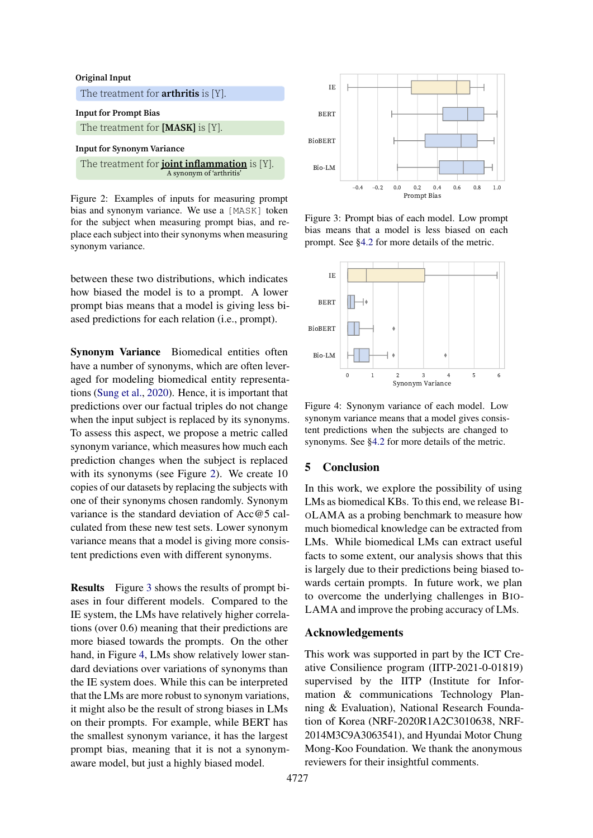<span id="page-4-0"></span>

Figure 2: Examples of inputs for measuring prompt bias and synonym variance. We use a [MASK] token for the subject when measuring prompt bias, and replace each subject into their synonyms when measuring synonym variance.

between these two distributions, which indicates how biased the model is to a prompt. A lower prompt bias means that a model is giving less biased predictions for each relation (i.e., prompt).

Synonym Variance Biomedical entities often have a number of synonyms, which are often leveraged for modeling biomedical entity representations [\(Sung et al.,](#page-6-3) [2020\)](#page-6-3). Hence, it is important that predictions over our factual triples do not change when the input subject is replaced by its synonyms. To assess this aspect, we propose a metric called synonym variance, which measures how much each prediction changes when the subject is replaced with its synonyms (see Figure [2\)](#page-4-0). We create 10 copies of our datasets by replacing the subjects with one of their synonyms chosen randomly. Synonym variance is the standard deviation of Acc@5 calculated from these new test sets. Lower synonym variance means that a model is giving more consistent predictions even with different synonyms.

Results Figure [3](#page-4-1) shows the results of prompt biases in four different models. Compared to the IE system, the LMs have relatively higher correlations (over 0.6) meaning that their predictions are more biased towards the prompts. On the other hand, in Figure [4,](#page-4-1) LMs show relatively lower standard deviations over variations of synonyms than the IE system does. While this can be interpreted that the LMs are more robust to synonym variations, it might also be the result of strong biases in LMs on their prompts. For example, while BERT has the smallest synonym variance, it has the largest prompt bias, meaning that it is not a synonymaware model, but just a highly biased model.

<span id="page-4-1"></span>

Figure 3: Prompt bias of each model. Low prompt bias means that a model is less biased on each prompt. See [§4.2](#page-3-2) for more details of the metric.



Figure 4: Synonym variance of each model. Low synonym variance means that a model gives consistent predictions when the subjects are changed to synonyms. See [§4.2](#page-3-2) for more details of the metric.

# 5 Conclusion

In this work, we explore the possibility of using LMs as biomedical KBs. To this end, we release BI-OLAMA as a probing benchmark to measure how much biomedical knowledge can be extracted from LMs. While biomedical LMs can extract useful facts to some extent, our analysis shows that this is largely due to their predictions being biased towards certain prompts. In future work, we plan to overcome the underlying challenges in BIO-LAMA and improve the probing accuracy of LMs.

# Acknowledgements

This work was supported in part by the ICT Creative Consilience program (IITP-2021-0-01819) supervised by the IITP (Institute for Information & communications Technology Planning & Evaluation), National Research Foundation of Korea (NRF-2020R1A2C3010638, NRF-2014M3C9A3063541), and Hyundai Motor Chung Mong-Koo Foundation. We thank the anonymous reviewers for their insightful comments.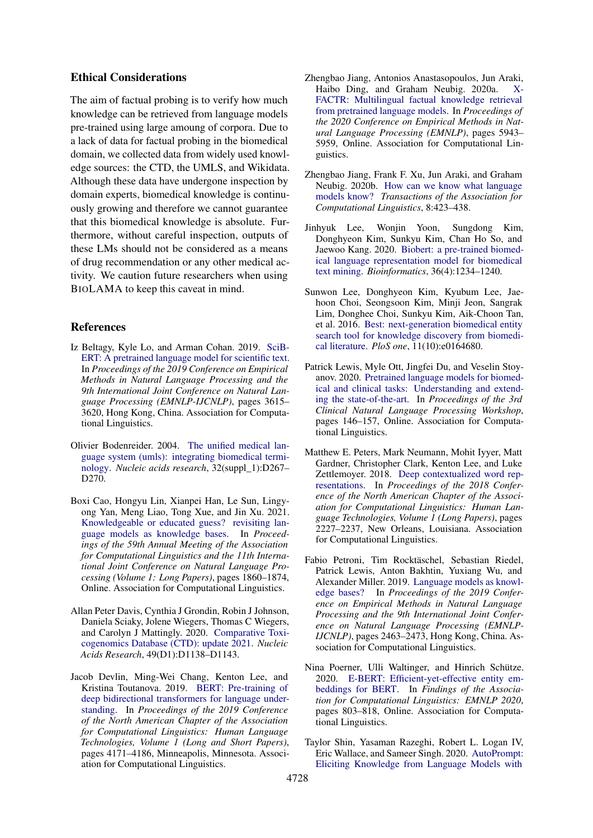### Ethical Considerations

The aim of factual probing is to verify how much knowledge can be retrieved from language models pre-trained using large amoung of corpora. Due to a lack of data for factual probing in the biomedical domain, we collected data from widely used knowledge sources: the CTD, the UMLS, and Wikidata. Although these data have undergone inspection by domain experts, biomedical knowledge is continuously growing and therefore we cannot guarantee that this biomedical knowledge is absolute. Furthermore, without careful inspection, outputs of these LMs should not be considered as a means of drug recommendation or any other medical activity. We caution future researchers when using BIOLAMA to keep this caveat in mind.

## References

- <span id="page-5-5"></span>Iz Beltagy, Kyle Lo, and Arman Cohan. 2019. [SciB-](https://doi.org/10.18653/v1/D19-1371)[ERT: A pretrained language model for scientific text.](https://doi.org/10.18653/v1/D19-1371) In *Proceedings of the 2019 Conference on Empirical Methods in Natural Language Processing and the 9th International Joint Conference on Natural Language Processing (EMNLP-IJCNLP)*, pages 3615– 3620, Hong Kong, China. Association for Computational Linguistics.
- <span id="page-5-10"></span>Olivier Bodenreider. 2004. [The unified medical lan](https://doi.org/10.1093/nar/gkh061)[guage system \(umls\): integrating biomedical termi](https://doi.org/10.1093/nar/gkh061)[nology.](https://doi.org/10.1093/nar/gkh061) *Nucleic acids research*, 32(suppl\_1):D267– D270.
- <span id="page-5-8"></span>Boxi Cao, Hongyu Lin, Xianpei Han, Le Sun, Lingyong Yan, Meng Liao, Tong Xue, and Jin Xu. 2021. [Knowledgeable or educated guess? revisiting lan](https://doi.org/10.18653/v1/2021.acl-long.146)[guage models as knowledge bases.](https://doi.org/10.18653/v1/2021.acl-long.146) In *Proceedings of the 59th Annual Meeting of the Association for Computational Linguistics and the 11th International Joint Conference on Natural Language Processing (Volume 1: Long Papers)*, pages 1860–1874, Online. Association for Computational Linguistics.
- <span id="page-5-9"></span>Allan Peter Davis, Cynthia J Grondin, Robin J Johnson, Daniela Sciaky, Jolene Wiegers, Thomas C Wiegers, and Carolyn J Mattingly. 2020. [Comparative Toxi](https://doi.org/10.1093/nar/gkaa891)[cogenomics Database \(CTD\): update 2021.](https://doi.org/10.1093/nar/gkaa891) *Nucleic Acids Research*, 49(D1):D1138–D1143.
- <span id="page-5-1"></span>Jacob Devlin, Ming-Wei Chang, Kenton Lee, and Kristina Toutanova. 2019. [BERT: Pre-training of](https://doi.org/10.18653/v1/N19-1423) [deep bidirectional transformers for language under](https://doi.org/10.18653/v1/N19-1423)[standing.](https://doi.org/10.18653/v1/N19-1423) In *Proceedings of the 2019 Conference of the North American Chapter of the Association for Computational Linguistics: Human Language Technologies, Volume 1 (Long and Short Papers)*, pages 4171–4186, Minneapolis, Minnesota. Association for Computational Linguistics.
- <span id="page-5-12"></span>Zhengbao Jiang, Antonios Anastasopoulos, Jun Araki, Haibo Ding, and Graham Neubig. 2020a. [X-](https://doi.org/10.18653/v1/2020.emnlp-main.479)[FACTR: Multilingual factual knowledge retrieval](https://doi.org/10.18653/v1/2020.emnlp-main.479) [from pretrained language models.](https://doi.org/10.18653/v1/2020.emnlp-main.479) In *Proceedings of the 2020 Conference on Empirical Methods in Natural Language Processing (EMNLP)*, pages 5943– 5959, Online. Association for Computational Linguistics.
- <span id="page-5-4"></span>Zhengbao Jiang, Frank F. Xu, Jun Araki, and Graham Neubig. 2020b. [How can we know what language](https://doi.org/10.1162/tacl_a_00324) [models know?](https://doi.org/10.1162/tacl_a_00324) *Transactions of the Association for Computational Linguistics*, 8:423–438.
- <span id="page-5-6"></span>Jinhyuk Lee, Wonjin Yoon, Sungdong Kim, Donghyeon Kim, Sunkyu Kim, Chan Ho So, and Jaewoo Kang. 2020. [Biobert: a pre-trained biomed](https://doi.org/10.1093/bioinformatics/btz682)[ical language representation model for biomedical](https://doi.org/10.1093/bioinformatics/btz682) [text mining.](https://doi.org/10.1093/bioinformatics/btz682) *Bioinformatics*, 36(4):1234–1240.
- <span id="page-5-7"></span>Sunwon Lee, Donghyeon Kim, Kyubum Lee, Jaehoon Choi, Seongsoon Kim, Minji Jeon, Sangrak Lim, Donghee Choi, Sunkyu Kim, Aik-Choon Tan, et al. 2016. [Best: next-generation biomedical entity](https://doi.org/10.1371/journal.pone.0164680) [search tool for knowledge discovery from biomedi](https://doi.org/10.1371/journal.pone.0164680)[cal literature.](https://doi.org/10.1371/journal.pone.0164680) *PloS one*, 11(10):e0164680.
- <span id="page-5-13"></span>Patrick Lewis, Myle Ott, Jingfei Du, and Veselin Stoyanov. 2020. [Pretrained language models for biomed](https://doi.org/10.18653/v1/2020.clinicalnlp-1.17)[ical and clinical tasks: Understanding and extend](https://doi.org/10.18653/v1/2020.clinicalnlp-1.17)[ing the state-of-the-art.](https://doi.org/10.18653/v1/2020.clinicalnlp-1.17) In *Proceedings of the 3rd Clinical Natural Language Processing Workshop*, pages 146–157, Online. Association for Computational Linguistics.
- <span id="page-5-0"></span>Matthew E. Peters, Mark Neumann, Mohit Iyyer, Matt Gardner, Christopher Clark, Kenton Lee, and Luke Zettlemoyer. 2018. [Deep contextualized word rep](https://doi.org/10.18653/v1/N18-1202)[resentations.](https://doi.org/10.18653/v1/N18-1202) In *Proceedings of the 2018 Conference of the North American Chapter of the Association for Computational Linguistics: Human Language Technologies, Volume 1 (Long Papers)*, pages 2227–2237, New Orleans, Louisiana. Association for Computational Linguistics.
- <span id="page-5-2"></span>Fabio Petroni, Tim Rocktäschel, Sebastian Riedel, Patrick Lewis, Anton Bakhtin, Yuxiang Wu, and Alexander Miller. 2019. [Language models as knowl](https://doi.org/10.18653/v1/D19-1250)[edge bases?](https://doi.org/10.18653/v1/D19-1250) In *Proceedings of the 2019 Conference on Empirical Methods in Natural Language Processing and the 9th International Joint Conference on Natural Language Processing (EMNLP-IJCNLP)*, pages 2463–2473, Hong Kong, China. Association for Computational Linguistics.
- <span id="page-5-11"></span>Nina Poerner, Ulli Waltinger, and Hinrich Schütze. 2020. [E-BERT: Efficient-yet-effective entity em](https://doi.org/10.18653/v1/2020.findings-emnlp.71)[beddings for BERT.](https://doi.org/10.18653/v1/2020.findings-emnlp.71) In *Findings of the Association for Computational Linguistics: EMNLP 2020*, pages 803–818, Online. Association for Computational Linguistics.
- <span id="page-5-3"></span>Taylor Shin, Yasaman Razeghi, Robert L. Logan IV, Eric Wallace, and Sameer Singh. 2020. [AutoPrompt:](https://doi.org/10.18653/v1/2020.emnlp-main.346) [Eliciting Knowledge from Language Models with](https://doi.org/10.18653/v1/2020.emnlp-main.346)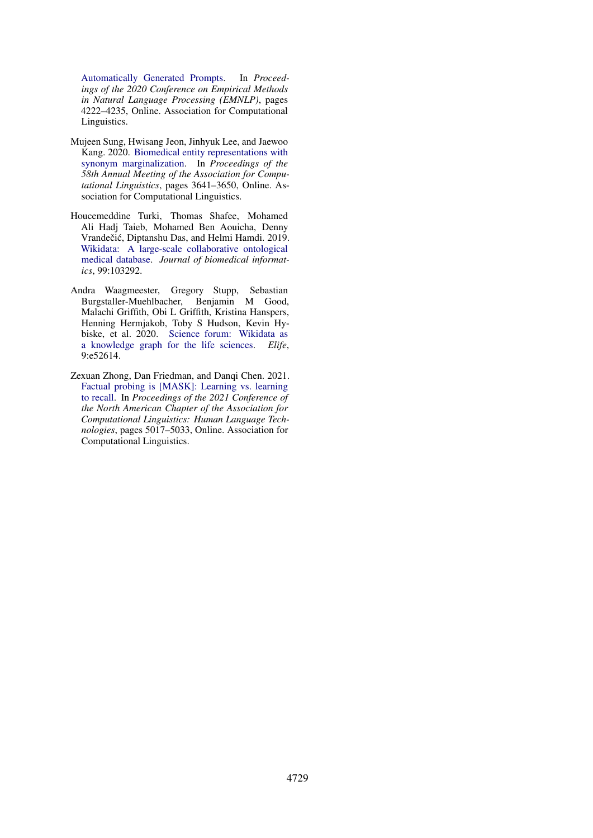[Automatically Generated Prompts.](https://doi.org/10.18653/v1/2020.emnlp-main.346) In *Proceedings of the 2020 Conference on Empirical Methods in Natural Language Processing (EMNLP)*, pages 4222–4235, Online. Association for Computational Linguistics.

- <span id="page-6-3"></span>Mujeen Sung, Hwisang Jeon, Jinhyuk Lee, and Jaewoo Kang. 2020. [Biomedical entity representations with](https://doi.org/10.18653/v1/2020.acl-main.335) [synonym marginalization.](https://doi.org/10.18653/v1/2020.acl-main.335) In *Proceedings of the 58th Annual Meeting of the Association for Computational Linguistics*, pages 3641–3650, Online. Association for Computational Linguistics.
- <span id="page-6-1"></span>Houcemeddine Turki, Thomas Shafee, Mohamed Ali Hadj Taieb, Mohamed Ben Aouicha, Denny Vrandečić, Diptanshu Das, and Helmi Hamdi. 2019. [Wikidata: A large-scale collaborative ontological](https://doi.org/10.1016/j.jbi.2019.103292) [medical database.](https://doi.org/10.1016/j.jbi.2019.103292) *Journal of biomedical informatics*, 99:103292.
- <span id="page-6-2"></span>Andra Waagmeester, Gregory Stupp, Sebastian Burgstaller-Muehlbacher, Benjamin M Good, Malachi Griffith, Obi L Griffith, Kristina Hanspers, Henning Hermjakob, Toby S Hudson, Kevin Hybiske, et al. 2020. [Science forum: Wikidata as](https://doi.org/10.7554/eLife.52614) [a knowledge graph for the life sciences.](https://doi.org/10.7554/eLife.52614) *Elife*, 9:e52614.
- <span id="page-6-0"></span>Zexuan Zhong, Dan Friedman, and Danqi Chen. 2021. [Factual probing is \[MASK\]: Learning vs. learning](https://doi.org/10.18653/v1/2021.naacl-main.398) [to recall.](https://doi.org/10.18653/v1/2021.naacl-main.398) In *Proceedings of the 2021 Conference of the North American Chapter of the Association for Computational Linguistics: Human Language Technologies*, pages 5017–5033, Online. Association for Computational Linguistics.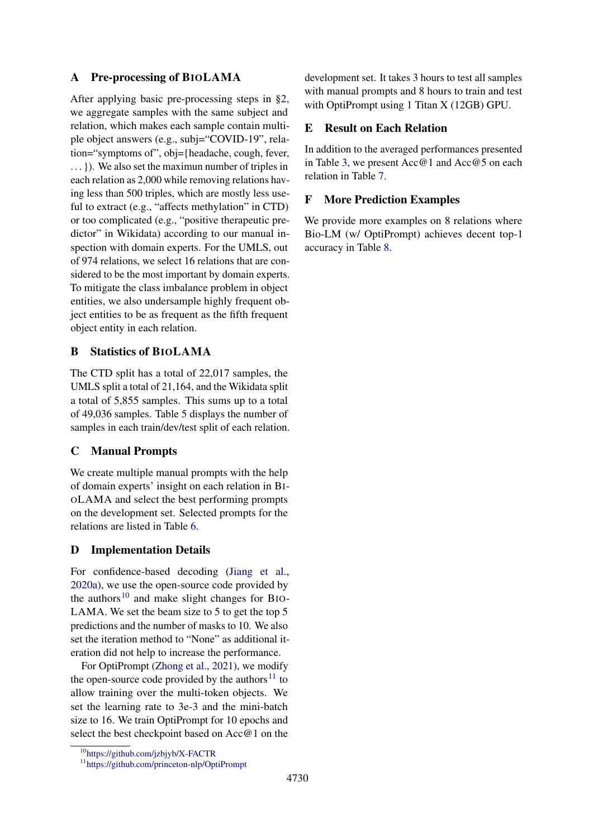# <span id="page-7-1"></span>A Pre-processing of BIOLAMA

After applying basic pre-processing steps in [§2,](#page-1-6) we aggregate samples with the same subject and relation, which makes each sample contain multiple object answers (e.g., subj="COVID-19", relation="symptoms of", obj={headache, cough, fever, ... }). We also set the maximun number of triples in each relation as 2,000 while removing relations having less than 500 triples, which are mostly less useful to extract (e.g., "affects methylation" in CTD) or too complicated (e.g., "positive therapeutic predictor" in Wikidata) according to our manual inspection with domain experts. For the UMLS, out of 974 relations, we select 16 relations that are considered to be the most important by domain experts. To mitigate the class imbalance problem in object entities, we also undersample highly frequent object entities to be as frequent as the fifth frequent object entity in each relation.

# <span id="page-7-2"></span>B Statistics of BIOLAMA

The CTD split has a total of 22,017 samples, the UMLS split a total of 21,164, and the Wikidata split a total of 5,855 samples. This sums up to a total of 49,036 samples. Table [5](#page-8-0) displays the number of samples in each train/dev/test split of each relation.

### <span id="page-7-3"></span>C Manual Prompts

We create multiple manual prompts with the help of domain experts' insight on each relation in BI-OLAMA and select the best performing prompts on the development set. Selected prompts for the relations are listed in Table [6.](#page-9-0)

# <span id="page-7-5"></span>D Implementation Details

For confidence-based decoding [\(Jiang et al.,](#page-5-12) [2020a\)](#page-5-12), we use the open-source code provided by the authors<sup>[10](#page-7-6)</sup> and make slight changes for BIO-LAMA. We set the beam size to 5 to get the top 5 predictions and the number of masks to 10. We also set the iteration method to "None" as additional iteration did not help to increase the performance.

For OptiPrompt [\(Zhong et al.,](#page-6-0) [2021\)](#page-6-0), we modify the open-source code provided by the authors $11$  to allow training over the multi-token objects. We set the learning rate to 3e-3 and the mini-batch size to 16. We train OptiPrompt for 10 epochs and select the best checkpoint based on Acc@1 on the

development set. It takes 3 hours to test all samples with manual prompts and 8 hours to train and test with OptiPrompt using 1 Titan X (12GB) GPU.

#### <span id="page-7-0"></span>E Result on Each Relation

In addition to the averaged performances presented in Table [3,](#page-2-3) we present Acc@1 and Acc@5 on each relation in Table [7.](#page-10-0)

### <span id="page-7-4"></span>F More Prediction Examples

We provide more examples on 8 relations where Bio-LM (w/ OptiPrompt) achieves decent top-1 accuracy in Table [8.](#page-11-0)

<span id="page-7-6"></span><sup>10</sup><https://github.com/jzbjyb/X-FACTR>

<span id="page-7-7"></span><sup>11</sup><https://github.com/princeton-nlp/OptiPrompt>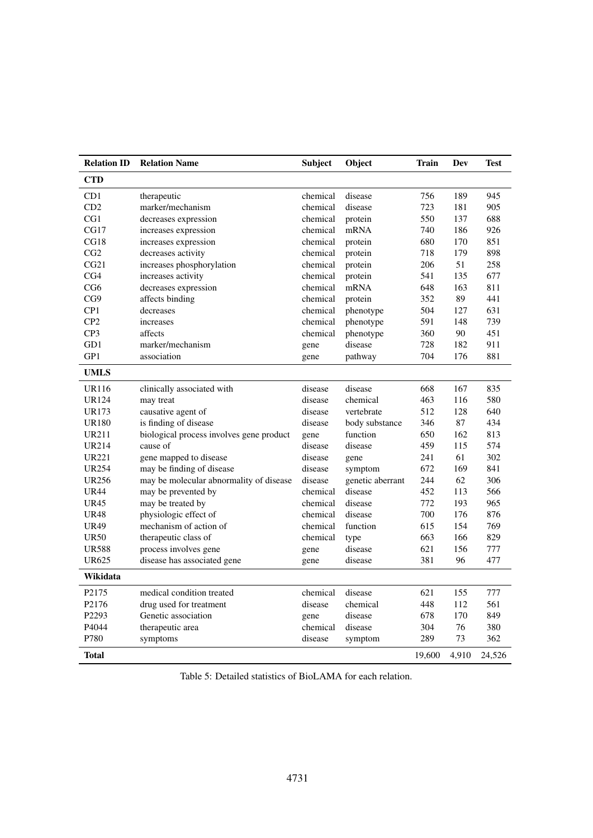<span id="page-8-0"></span>

| <b>Relation ID</b> | <b>Relation Name</b>                     | <b>Subject</b> | Object           | Train  | Dev   | Test   |
|--------------------|------------------------------------------|----------------|------------------|--------|-------|--------|
| <b>CTD</b>         |                                          |                |                  |        |       |        |
| CD1                | therapeutic                              | chemical       | disease          | 756    | 189   | 945    |
| CD2                | marker/mechanism                         | chemical       | disease          | 723    | 181   | 905    |
| CG1                | decreases expression                     | chemical       | protein          | 550    | 137   | 688    |
| CG17               | increases expression                     | chemical       | mRNA             | 740    | 186   | 926    |
| CG18               | increases expression                     | chemical       | protein          | 680    | 170   | 851    |
| CG2                | decreases activity                       | chemical       | protein          | 718    | 179   | 898    |
| CG21               | increases phosphorylation                | chemical       | protein          | 206    | 51    | 258    |
| CG4                | increases activity                       | chemical       | protein          | 541    | 135   | 677    |
| CG6                | decreases expression                     | chemical       | mRNA             | 648    | 163   | 811    |
| CG9                | affects binding                          | chemical       | protein          | 352    | 89    | 441    |
| CP1                | decreases                                | chemical       | phenotype        | 504    | 127   | 631    |
| CP2                | increases                                | chemical       | phenotype        | 591    | 148   | 739    |
| CP3                | affects                                  | chemical       | phenotype        | 360    | 90    | 451    |
| GD1                | marker/mechanism                         | gene           | disease          | 728    | 182   | 911    |
| GP1                | association                              | gene           | pathway          | 704    | 176   | 881    |
| <b>UMLS</b>        |                                          |                |                  |        |       |        |
| <b>UR116</b>       | clinically associated with               | disease        | disease          | 668    | 167   | 835    |
| UR124              | may treat                                | disease        | chemical         | 463    | 116   | 580    |
| <b>UR173</b>       | causative agent of                       | disease        | vertebrate       | 512    | 128   | 640    |
| <b>UR180</b>       | is finding of disease                    | disease        | body substance   | 346    | 87    | 434    |
| <b>UR211</b>       | biological process involves gene product | gene           | function         | 650    | 162   | 813    |
| <b>UR214</b>       | cause of                                 | disease        | disease          | 459    | 115   | 574    |
| <b>UR221</b>       | gene mapped to disease                   | disease        | gene             | 241    | 61    | 302    |
| <b>UR254</b>       | may be finding of disease                | disease        | symptom          | 672    | 169   | 841    |
| <b>UR256</b>       | may be molecular abnormality of disease  | disease        | genetic aberrant | 244    | 62    | 306    |
| <b>UR44</b>        | may be prevented by                      | chemical       | disease          | 452    | 113   | 566    |
| <b>UR45</b>        | may be treated by                        | chemical       | disease          | 772    | 193   | 965    |
| <b>UR48</b>        | physiologic effect of                    | chemical       | disease          | 700    | 176   | 876    |
| <b>UR49</b>        | mechanism of action of                   | chemical       | function         | 615    | 154   | 769    |
| <b>UR50</b>        | therapeutic class of                     | chemical       | type             | 663    | 166   | 829    |
| <b>UR588</b>       | process involves gene                    | gene           | disease          | 621    | 156   | 777    |
| <b>UR625</b>       | disease has associated gene              | gene           | disease          | 381    | 96    | 477    |
| Wikidata           |                                          |                |                  |        |       |        |
| P2175              | medical condition treated                | chemical       | disease          | 621    | 155   | 777    |
| P2176              | drug used for treatment                  | disease        | chemical         | 448    | 112   | 561    |
| P2293              | Genetic association                      | gene           | disease          | 678    | 170   | 849    |
| P4044              | therapeutic area                         | chemical       | disease          | 304    | 76    | 380    |
| P780               | symptoms                                 | disease        | symptom          | 289    | 73    | 362    |
| <b>Total</b>       |                                          |                |                  | 19,600 | 4,910 | 24,526 |

Table 5: Detailed statistics of BioLAMA for each relation.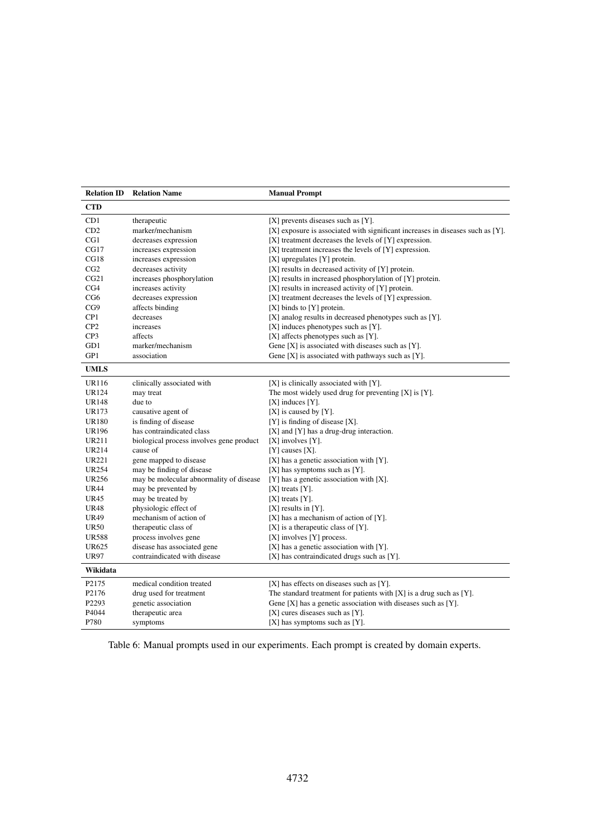<span id="page-9-0"></span>

| <b>Relation ID</b> | <b>Relation Name</b>                     | <b>Manual Prompt</b>                                                           |
|--------------------|------------------------------------------|--------------------------------------------------------------------------------|
| <b>CTD</b>         |                                          |                                                                                |
| CD1                | therapeutic                              | $[X]$ prevents diseases such as $[Y]$ .                                        |
| CD2                | marker/mechanism                         | [X] exposure is associated with significant increases in diseases such as [Y]. |
| CG1                | decreases expression                     | $[X]$ treatment decreases the levels of $[Y]$ expression.                      |
| CG17               | increases expression                     | [X] treatment increases the levels of [Y] expression.                          |
| CG18               | increases expression                     | $[X]$ upregulates $[Y]$ protein.                                               |
| CG2                | decreases activity                       | [X] results in decreased activity of [Y] protein.                              |
| CG21               | increases phosphorylation                | [X] results in increased phosphorylation of [Y] protein.                       |
| CG4                | increases activity                       | [X] results in increased activity of [Y] protein.                              |
| CG <sub>6</sub>    | decreases expression                     | [X] treatment decreases the levels of [Y] expression.                          |
| CG9                | affects binding                          | $[X]$ binds to $[Y]$ protein.                                                  |
| CP <sub>1</sub>    | decreases                                | [X] analog results in decreased phenotypes such as [Y].                        |
| CP2                | increases                                | $[X]$ induces phenotypes such as $[Y]$ .                                       |
| CP <sub>3</sub>    | affects                                  | [X] affects phenotypes such as [Y].                                            |
| GD1                | marker/mechanism                         | Gene $[X]$ is associated with diseases such as $[Y]$ .                         |
| GP1                | association                              | Gene $[X]$ is associated with pathways such as $[Y]$ .                         |
| <b>UMLS</b>        |                                          |                                                                                |
| <b>UR116</b>       | clinically associated with               | [X] is clinically associated with [Y].                                         |
| <b>UR124</b>       | may treat                                | The most widely used drug for preventing $[X]$ is $[Y]$ .                      |
| <b>UR148</b>       | due to                                   | $[X]$ induces $[Y]$ .                                                          |
| UR173              | causative agent of                       | [X] is caused by [Y].                                                          |
| <b>UR180</b>       | is finding of disease                    | $[Y]$ is finding of disease $[X]$ .                                            |
| <b>UR196</b>       | has contraindicated class                | [X] and [Y] has a drug-drug interaction.                                       |
| UR211              | biological process involves gene product | $[X]$ involves $[Y]$ .                                                         |
| <b>UR214</b>       | cause of                                 | $[Y]$ causes $[X]$ .                                                           |
| UR221              | gene mapped to disease                   | [X] has a genetic association with [Y].                                        |
| <b>UR254</b>       | may be finding of disease                | $[X]$ has symptoms such as $[Y]$ .                                             |
| <b>UR256</b>       | may be molecular abnormality of disease  | [Y] has a genetic association with [X].                                        |
| UR44               | may be prevented by                      | $[X]$ treats $[Y]$ .                                                           |
| <b>UR45</b>        | may be treated by                        | $[X]$ treats $[Y]$ .                                                           |
| <b>UR48</b>        | physiologic effect of                    | $[X]$ results in $[Y]$ .                                                       |
| <b>UR49</b>        | mechanism of action of                   | $[X]$ has a mechanism of action of $[Y]$ .                                     |
| <b>UR50</b>        | therapeutic class of                     | $[X]$ is a therapeutic class of $[Y]$ .                                        |
| <b>UR588</b>       | process involves gene                    | $[X]$ involves $[Y]$ process.                                                  |
| <b>UR625</b>       | disease has associated gene              | [X] has a genetic association with [Y].                                        |
| <b>UR97</b>        | contraindicated with disease             | [X] has contraindicated drugs such as [Y].                                     |
| Wikidata           |                                          |                                                                                |
| P <sub>2175</sub>  | medical condition treated                | $[X]$ has effects on diseases such as $[Y]$ .                                  |
| P <sub>2176</sub>  | drug used for treatment                  | The standard treatment for patients with $[X]$ is a drug such as $[Y]$ .       |
| P <sub>2293</sub>  | genetic association                      | Gene $[X]$ has a genetic association with diseases such as $[Y]$ .             |
| P4044              | therapeutic area                         | $[X]$ cures diseases such as $[Y]$ .                                           |
| P780               | symptoms                                 | $[X]$ has symptoms such as $[Y]$ .                                             |

Table 6: Manual prompts used in our experiments. Each prompt is created by domain experts.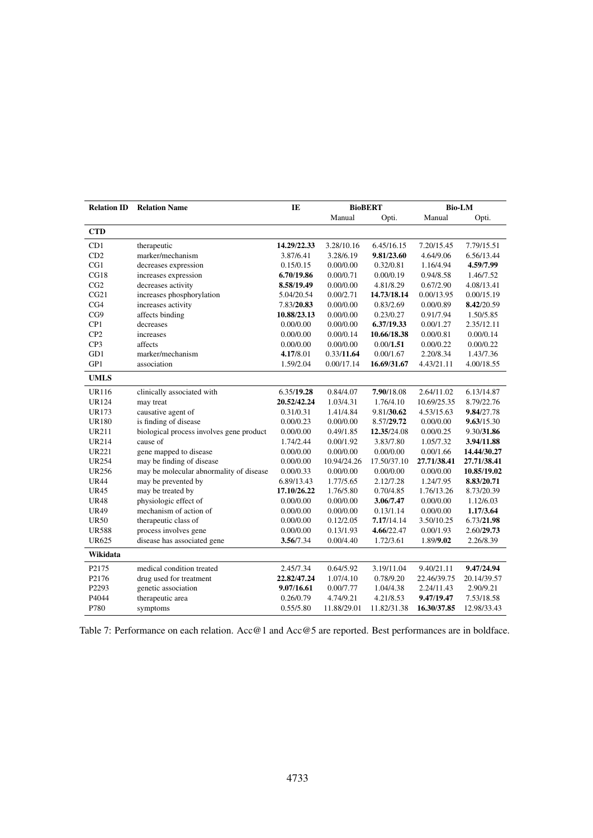<span id="page-10-0"></span>

| <b>Relation ID</b> | <b>Relation Name</b>                     | IE          | <b>BioBERT</b> |             | <b>Bio-LM</b> |             |
|--------------------|------------------------------------------|-------------|----------------|-------------|---------------|-------------|
|                    |                                          |             | Manual         | Opti.       | Manual        | Opti.       |
| <b>CTD</b>         |                                          |             |                |             |               |             |
| CD1                | therapeutic                              | 14.29/22.33 | 3.28/10.16     | 6.45/16.15  | 7.20/15.45    | 7.79/15.51  |
| CD2                | marker/mechanism                         | 3.87/6.41   | 3.28/6.19      | 9.81/23.60  | 4.64/9.06     | 6.56/13.44  |
| CG1                | decreases expression                     | 0.15/0.15   | 0.00/0.00      | 0.32/0.81   | 1.16/4.94     | 4.59/7.99   |
| CG18               | increases expression                     | 6.70/19.86  | 0.00/0.71      | 0.00/0.19   | 0.94/8.58     | 1.46/7.52   |
| CG2                | decreases activity                       | 8.58/19.49  | 0.00/0.00      | 4.81/8.29   | 0.67/2.90     | 4.08/13.41  |
| CG21               | increases phosphorylation                | 5.04/20.54  | 0.00/2.71      | 14.73/18.14 | 0.00/13.95    | 0.00/15.19  |
| CG4                | increases activity                       | 7.83/20.83  | 0.00/0.00      | 0.83/2.69   | 0.00/0.89     | 8.42/20.59  |
| CG9                | affects binding                          | 10.88/23.13 | 0.00/0.00      | 0.23/0.27   | 0.91/7.94     | 1.50/5.85   |
| CP1                | decreases                                | 0.00/0.00   | 0.00/0.00      | 6.37/19.33  | 0.00/1.27     | 2.35/12.11  |
| CP <sub>2</sub>    | increases                                | 0.00/0.00   | 0.00/0.14      | 10.66/18.38 | 0.00/0.81     | 0.00/0.14   |
| CP3                | affects                                  | 0.00/0.00   | 0.00/0.00      | 0.00/1.51   | 0.00/0.22     | 0.00/0.22   |
| GD1                | marker/mechanism                         | 4.17/8.01   | 0.33/11.64     | 0.00/1.67   | 2.20/8.34     | 1.43/7.36   |
| GP1                | association                              | 1.59/2.04   | 0.00/17.14     | 16.69/31.67 | 4.43/21.11    | 4.00/18.55  |
| <b>UMLS</b>        |                                          |             |                |             |               |             |
| <b>UR116</b>       | clinically associated with               | 6.35/19.28  | 0.84/4.07      | 7.90/18.08  | 2.64/11.02    | 6.13/14.87  |
| <b>UR124</b>       | may treat                                | 20.52/42.24 | 1.03/4.31      | 1.76/4.10   | 10.69/25.35   | 8.79/22.76  |
| UR173              | causative agent of                       | 0.31/0.31   | 1.41/4.84      | 9.81/30.62  | 4.53/15.63    | 9.84/27.78  |
| <b>UR180</b>       | is finding of disease                    | 0.00/0.23   | 0.00/0.00      | 8.57/29.72  | 0.00/0.00     | 9.63/15.30  |
| <b>UR211</b>       | biological process involves gene product | 0.00/0.00   | 0.49/1.85      | 12.35/24.08 | 0.00/0.25     | 9.30/31.86  |
| <b>UR214</b>       | cause of                                 | 1.74/2.44   | 0.00/1.92      | 3.83/7.80   | 1.05/7.32     | 3.94/11.88  |
| <b>UR221</b>       | gene mapped to disease                   | 0.00/0.00   | 0.00/0.00      | 0.00/0.00   | 0.00/1.66     | 14.44/30.27 |
| <b>UR254</b>       | may be finding of disease                | 0.00/0.00   | 10.94/24.26    | 17.50/37.10 | 27.71/38.41   | 27.71/38.41 |
| <b>UR256</b>       | may be molecular abnormality of disease  | 0.00/0.33   | 0.00/0.00      | 0.00/0.00   | 0.00/0.00     | 10.85/19.02 |
| <b>UR44</b>        | may be prevented by                      | 6.89/13.43  | 1.77/5.65      | 2.12/7.28   | 1.24/7.95     | 8.83/20.71  |
| <b>UR45</b>        | may be treated by                        | 17.10/26.22 | 1.76/5.80      | 0.70/4.85   | 1.76/13.26    | 8.73/20.39  |
| <b>UR48</b>        | physiologic effect of                    | 0.00/0.00   | 0.00/0.00      | 3.06/7.47   | 0.00/0.00     | 1.12/6.03   |
| <b>UR49</b>        | mechanism of action of                   | 0.00/0.00   | 0.00/0.00      | 0.13/1.14   | 0.00/0.00     | 1.17/3.64   |
| <b>UR50</b>        | therapeutic class of                     | 0.00/0.00   | 0.12/2.05      | 7.17/14.14  | 3.50/10.25    | 6.73/21.98  |
| <b>UR588</b>       | process involves gene                    | 0.00/0.00   | 0.13/1.93      | 4.66/22.47  | 0.00/1.93     | 2.60/29.73  |
| <b>UR625</b>       | disease has associated gene              | 3.56/7.34   | 0.00/4.40      | 1.72/3.61   | 1.89/9.02     | 2.26/8.39   |
| Wikidata           |                                          |             |                |             |               |             |
| P <sub>2175</sub>  | medical condition treated                | 2.45/7.34   | 0.64/5.92      | 3.19/11.04  | 9.40/21.11    | 9.47/24.94  |
| P2176              | drug used for treatment                  | 22.82/47.24 | 1.07/4.10      | 0.78/9.20   | 22.46/39.75   | 20.14/39.57 |
| P <sub>2293</sub>  | genetic association                      | 9.07/16.61  | 0.00/7.77      | 1.04/4.38   | 2.24/11.43    | 2.90/9.21   |
| P4044              | therapeutic area                         | 0.26/0.79   | 4.74/9.21      | 4.21/8.53   | 9.47/19.47    | 7.53/18.58  |
| P780               | symptoms                                 | 0.55/5.80   | 11.88/29.01    | 11.82/31.38 | 16.30/37.85   | 12.98/33.43 |

Table 7: Performance on each relation. Acc@1 and Acc@5 are reported. Best performances are in boldface.